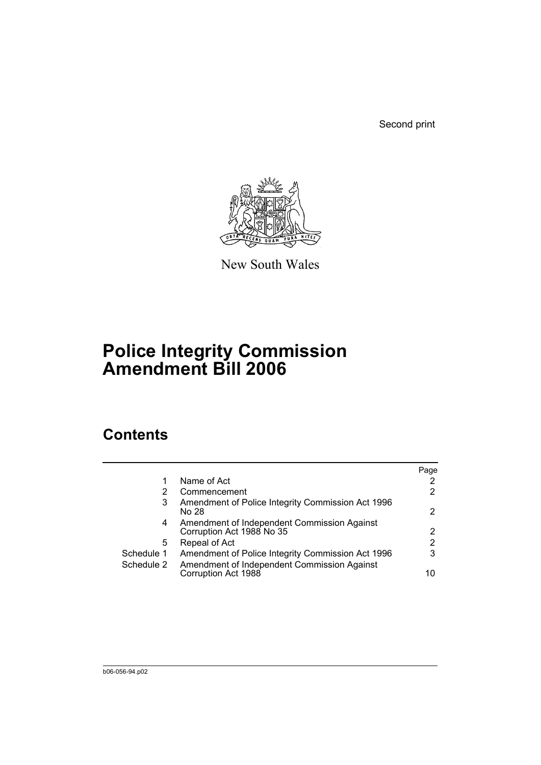Second print



New South Wales

# **Police Integrity Commission Amendment Bill 2006**

## **Contents**

|            |                                                                          | Page                  |
|------------|--------------------------------------------------------------------------|-----------------------|
|            | Name of Act                                                              | 2                     |
|            | Commencement                                                             | $\mathbf{2}^{\prime}$ |
| 3          | Amendment of Police Integrity Commission Act 1996<br>No 28               | $\overline{2}$        |
| 4          | Amendment of Independent Commission Against<br>Corruption Act 1988 No 35 | 2                     |
| 5          | Repeal of Act                                                            | 2                     |
| Schedule 1 | Amendment of Police Integrity Commission Act 1996                        | 3                     |
| Schedule 2 | Amendment of Independent Commission Against<br>Corruption Act 1988       | 10                    |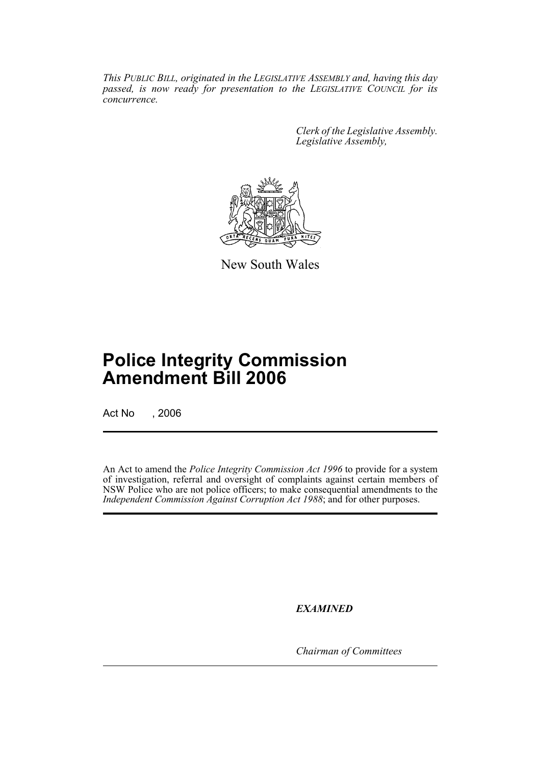*This PUBLIC BILL, originated in the LEGISLATIVE ASSEMBLY and, having this day passed, is now ready for presentation to the LEGISLATIVE COUNCIL for its concurrence.*

> *Clerk of the Legislative Assembly. Legislative Assembly,*



New South Wales

## **Police Integrity Commission Amendment Bill 2006**

Act No , 2006

An Act to amend the *Police Integrity Commission Act 1996* to provide for a system of investigation, referral and oversight of complaints against certain members of NSW Police who are not police officers; to make consequential amendments to the *Independent Commission Against Corruption Act 1988*; and for other purposes.

*EXAMINED*

*Chairman of Committees*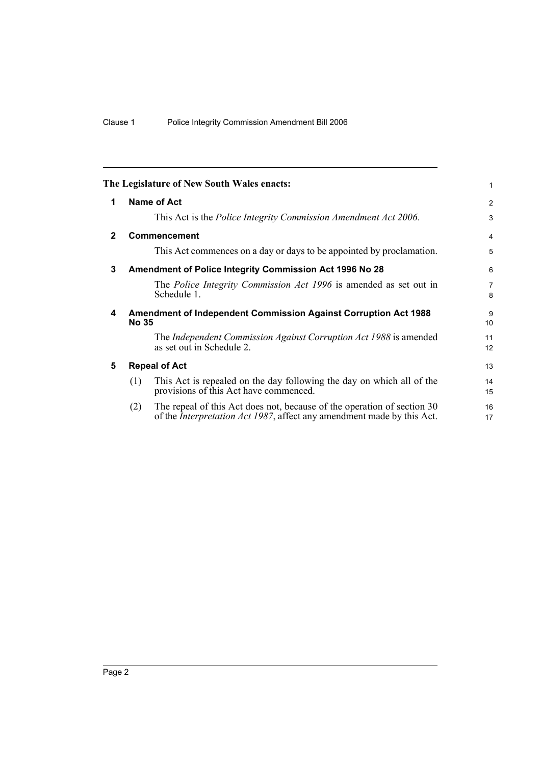|              |                                                                                        | The Legislature of New South Wales enacts:                                                                                                                | 1                   |
|--------------|----------------------------------------------------------------------------------------|-----------------------------------------------------------------------------------------------------------------------------------------------------------|---------------------|
| 1            |                                                                                        | Name of Act                                                                                                                                               | 2                   |
|              |                                                                                        | This Act is the Police Integrity Commission Amendment Act 2006.                                                                                           | 3                   |
| $\mathbf{2}$ |                                                                                        | Commencement                                                                                                                                              | 4                   |
|              |                                                                                        | This Act commences on a day or days to be appointed by proclamation.                                                                                      | 5                   |
| 3            |                                                                                        | Amendment of Police Integrity Commission Act 1996 No 28                                                                                                   | 6                   |
|              |                                                                                        | The <i>Police Integrity Commission Act 1996</i> is amended as set out in<br>Schedule 1.                                                                   | $\overline{7}$<br>8 |
| 4            | <b>Amendment of Independent Commission Against Corruption Act 1988</b><br><b>No 35</b> |                                                                                                                                                           |                     |
|              |                                                                                        | The Independent Commission Against Corruption Act 1988 is amended<br>as set out in Schedule 2.                                                            | 11<br>12            |
| 5            | <b>Repeal of Act</b>                                                                   |                                                                                                                                                           |                     |
|              | (1)                                                                                    | This Act is repealed on the day following the day on which all of the<br>provisions of this Act have commenced.                                           | 14<br>15            |
|              | (2)                                                                                    | The repeal of this Act does not, because of the operation of section 30<br>of the <i>Interpretation Act 1987</i> , affect any amendment made by this Act. | 16<br>17            |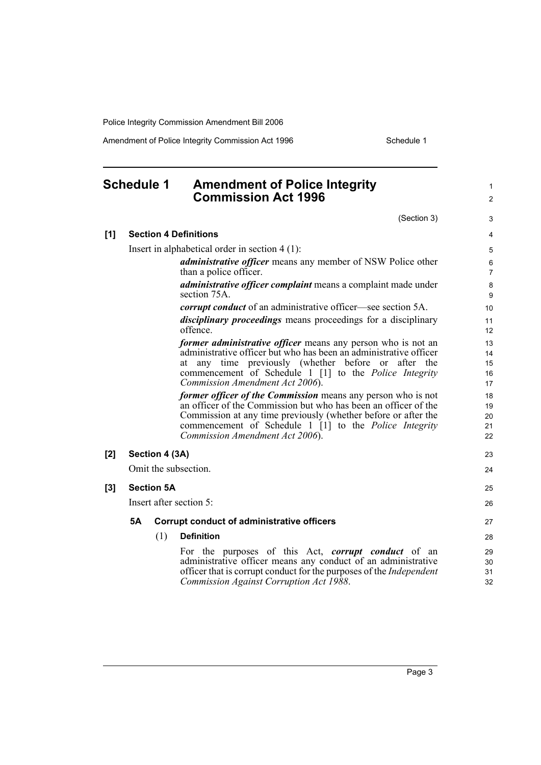Amendment of Police Integrity Commission Act 1996 Schedule 1

### **Schedule 1 Amendment of Police Integrity Commission Act 1996**

(Section 3)

1 2

|       |                                                  |                | (Section 3)                                                                                                                                                                                                                                                                                                  | 3                          |  |
|-------|--------------------------------------------------|----------------|--------------------------------------------------------------------------------------------------------------------------------------------------------------------------------------------------------------------------------------------------------------------------------------------------------------|----------------------------|--|
| [1]   | <b>Section 4 Definitions</b>                     |                |                                                                                                                                                                                                                                                                                                              |                            |  |
|       | Insert in alphabetical order in section $4(1)$ : |                |                                                                                                                                                                                                                                                                                                              |                            |  |
|       |                                                  |                | <i>administrative officer</i> means any member of NSW Police other<br>than a police officer.                                                                                                                                                                                                                 | 6<br>$\overline{7}$        |  |
|       |                                                  |                | <i>administrative officer complaint</i> means a complaint made under<br>section 75A.                                                                                                                                                                                                                         | 8<br>9                     |  |
|       |                                                  |                | <i>corrupt conduct</i> of an administrative officer—see section 5A.                                                                                                                                                                                                                                          | 10                         |  |
|       |                                                  |                | <i>disciplinary proceedings</i> means proceedings for a disciplinary<br>offence.                                                                                                                                                                                                                             | 11<br>12                   |  |
|       |                                                  |                | <i>former administrative officer</i> means any person who is not an<br>administrative officer but who has been an administrative officer<br>any time previously (whether before or after the<br>at<br>commencement of Schedule 1 [1] to the <i>Police Integrity</i><br>Commission Amendment Act 2006).       | 13<br>14<br>15<br>16<br>17 |  |
|       |                                                  |                | <i>former officer of the Commission</i> means any person who is not<br>an officer of the Commission but who has been an officer of the<br>Commission at any time previously (whether before or after the<br>commencement of Schedule 1 [1] to the <i>Police Integrity</i><br>Commission Amendment Act 2006). | 18<br>19<br>20<br>21<br>22 |  |
| [2]   |                                                  | Section 4 (3A) |                                                                                                                                                                                                                                                                                                              | 23                         |  |
|       |                                                  |                | Omit the subsection.                                                                                                                                                                                                                                                                                         | 24                         |  |
| $[3]$ | <b>Section 5A</b>                                |                |                                                                                                                                                                                                                                                                                                              |                            |  |
|       | Insert after section 5:                          |                |                                                                                                                                                                                                                                                                                                              |                            |  |
|       | 5Α                                               |                | <b>Corrupt conduct of administrative officers</b>                                                                                                                                                                                                                                                            | 27                         |  |
|       |                                                  | (1)            | <b>Definition</b>                                                                                                                                                                                                                                                                                            | 28                         |  |
|       |                                                  |                | For the purposes of this Act, corrupt conduct of an<br>administrative officer means any conduct of an administrative<br>officer that is corrupt conduct for the purposes of the <i>Independent</i><br>Commission Against Corruption Act 1988.                                                                | 29<br>30<br>31<br>32       |  |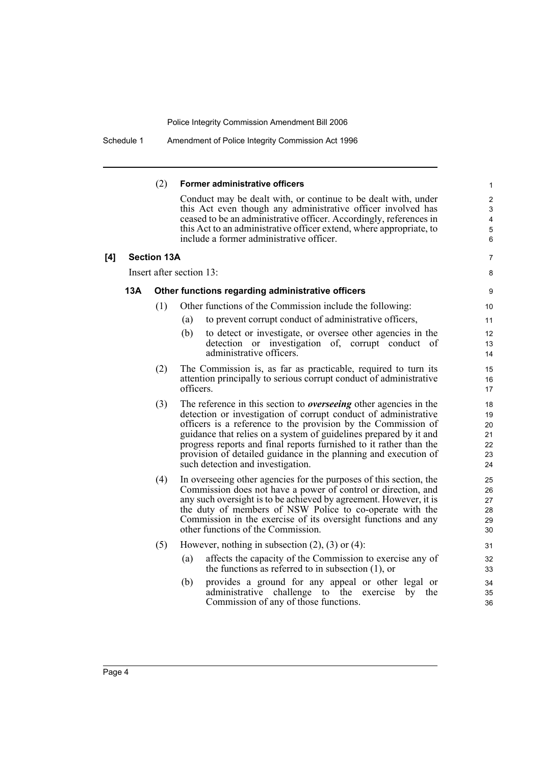|     |     | (2)                | Former administrative officers                                                                                                        | $\mathbf{1}$              |
|-----|-----|--------------------|---------------------------------------------------------------------------------------------------------------------------------------|---------------------------|
|     |     |                    | Conduct may be dealt with, or continue to be dealt with, under                                                                        | $\sqrt{2}$                |
|     |     |                    | this Act even though any administrative officer involved has                                                                          | $\ensuremath{\mathsf{3}}$ |
|     |     |                    | ceased to be an administrative officer. Accordingly, references in                                                                    | 4                         |
|     |     |                    | this Act to an administrative officer extend, where appropriate, to<br>include a former administrative officer.                       | $\sqrt{5}$<br>6           |
|     |     |                    |                                                                                                                                       |                           |
| [4] |     | <b>Section 13A</b> |                                                                                                                                       | 7                         |
|     |     |                    | Insert after section 13:                                                                                                              | 8                         |
|     | 13A |                    | Other functions regarding administrative officers                                                                                     | 9                         |
|     |     | (1)                | Other functions of the Commission include the following:                                                                              | 10                        |
|     |     |                    | to prevent corrupt conduct of administrative officers,<br>(a)                                                                         | 11                        |
|     |     |                    | (b)<br>to detect or investigate, or oversee other agencies in the                                                                     | 12                        |
|     |     |                    | detection or investigation of, corrupt conduct<br><sub>of</sub>                                                                       | 13                        |
|     |     |                    | administrative officers.                                                                                                              | 14                        |
|     |     | (2)                | The Commission is, as far as practicable, required to turn its                                                                        | 15                        |
|     |     |                    | attention principally to serious corrupt conduct of administrative                                                                    | 16                        |
|     |     |                    | officers.                                                                                                                             | 17                        |
|     |     | (3)                | The reference in this section to <i>overseeing</i> other agencies in the                                                              | 18                        |
|     |     |                    | detection or investigation of corrupt conduct of administrative                                                                       | 19                        |
|     |     |                    | officers is a reference to the provision by the Commission of                                                                         | 20                        |
|     |     |                    | guidance that relies on a system of guidelines prepared by it and                                                                     | 21                        |
|     |     |                    | progress reports and final reports furnished to it rather than the<br>provision of detailed guidance in the planning and execution of | 22<br>23                  |
|     |     |                    | such detection and investigation.                                                                                                     | 24                        |
|     |     |                    |                                                                                                                                       |                           |
|     |     | (4)                | In overseeing other agencies for the purposes of this section, the                                                                    | 25                        |
|     |     |                    | Commission does not have a power of control or direction, and<br>any such oversight is to be achieved by agreement. However, it is    | 26<br>27                  |
|     |     |                    | the duty of members of NSW Police to co-operate with the                                                                              | 28                        |
|     |     |                    | Commission in the exercise of its oversight functions and any                                                                         | 29                        |
|     |     |                    | other functions of the Commission.                                                                                                    | 30                        |
|     |     | (5)                | However, nothing in subsection $(2)$ , $(3)$ or $(4)$ :                                                                               | 31                        |
|     |     |                    | affects the capacity of the Commission to exercise any of<br>(a)                                                                      | 32                        |
|     |     |                    | the functions as referred to in subsection $(1)$ , or                                                                                 | 33                        |
|     |     |                    | provides a ground for any appeal or other legal or<br>(b)                                                                             | 34                        |
|     |     |                    | challenge to the<br>administrative<br>exercise<br>the<br>by                                                                           | 35                        |
|     |     |                    | Commission of any of those functions.                                                                                                 | 36                        |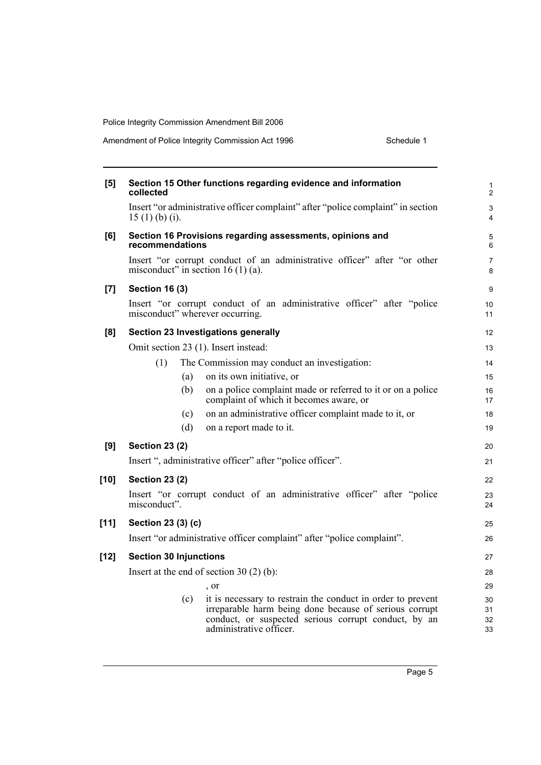Amendment of Police Integrity Commission Act 1996 Schedule 1

| [5]                | collected                                                                                                           | Section 15 Other functions regarding evidence and information                                                                                                                                            |  |  |  |
|--------------------|---------------------------------------------------------------------------------------------------------------------|----------------------------------------------------------------------------------------------------------------------------------------------------------------------------------------------------------|--|--|--|
|                    | $15(1)$ (b) (i).                                                                                                    | Insert "or administrative officer complaint" after "police complaint" in section                                                                                                                         |  |  |  |
| [6]                | recommendations                                                                                                     | Section 16 Provisions regarding assessments, opinions and                                                                                                                                                |  |  |  |
|                    | Insert "or corrupt conduct of an administrative officer" after "or other<br>misconduct" in section 16 $(1)$ $(a)$ . |                                                                                                                                                                                                          |  |  |  |
| $\left[ 7 \right]$ | <b>Section 16 (3)</b>                                                                                               |                                                                                                                                                                                                          |  |  |  |
|                    |                                                                                                                     | Insert "or corrupt conduct of an administrative officer" after "police<br>misconduct" wherever occurring.                                                                                                |  |  |  |
| [8]                |                                                                                                                     | <b>Section 23 Investigations generally</b>                                                                                                                                                               |  |  |  |
|                    |                                                                                                                     | Omit section 23 (1). Insert instead:                                                                                                                                                                     |  |  |  |
|                    | (1)                                                                                                                 | The Commission may conduct an investigation:                                                                                                                                                             |  |  |  |
|                    | (a)                                                                                                                 | on its own initiative, or                                                                                                                                                                                |  |  |  |
|                    | (b)                                                                                                                 | on a police complaint made or referred to it or on a police<br>complaint of which it becomes aware, or                                                                                                   |  |  |  |
|                    | (c)                                                                                                                 | on an administrative officer complaint made to it, or                                                                                                                                                    |  |  |  |
|                    | (d)                                                                                                                 | on a report made to it.                                                                                                                                                                                  |  |  |  |
| [9]                | <b>Section 23 (2)</b>                                                                                               |                                                                                                                                                                                                          |  |  |  |
|                    |                                                                                                                     | Insert ", administrative officer" after "police officer".                                                                                                                                                |  |  |  |
| $[10]$             | <b>Section 23 (2)</b>                                                                                               |                                                                                                                                                                                                          |  |  |  |
|                    | Insert "or corrupt conduct of an administrative officer" after "police<br>misconduct".                              |                                                                                                                                                                                                          |  |  |  |
| [11]               | Section 23 (3) (c)                                                                                                  |                                                                                                                                                                                                          |  |  |  |
|                    | Insert "or administrative officer complaint" after "police complaint".                                              |                                                                                                                                                                                                          |  |  |  |
| $[12]$             | <b>Section 30 Injunctions</b>                                                                                       |                                                                                                                                                                                                          |  |  |  |
|                    | Insert at the end of section 30 $(2)$ (b):                                                                          |                                                                                                                                                                                                          |  |  |  |
|                    |                                                                                                                     | , or                                                                                                                                                                                                     |  |  |  |
|                    | (c)                                                                                                                 | it is necessary to restrain the conduct in order to prevent<br>irreparable harm being done because of serious corrupt<br>conduct, or suspected serious corrupt conduct, by an<br>administrative officer. |  |  |  |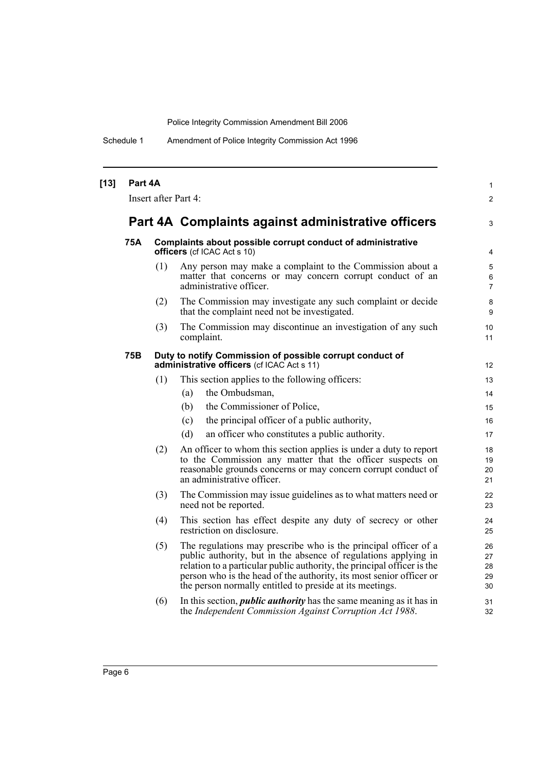Schedule 1 Amendment of Police Integrity Commission Act 1996

| [13] | Part 4A<br>Insert after Part 4: |     |                                                                                                                                                                                                                                                                                                                                                  |                            |  |
|------|---------------------------------|-----|--------------------------------------------------------------------------------------------------------------------------------------------------------------------------------------------------------------------------------------------------------------------------------------------------------------------------------------------------|----------------------------|--|
|      |                                 |     | Part 4A Complaints against administrative officers                                                                                                                                                                                                                                                                                               | 3                          |  |
|      | 75A                             |     | Complaints about possible corrupt conduct of administrative<br><b>officers</b> (cf ICAC Act s 10)                                                                                                                                                                                                                                                | 4                          |  |
|      |                                 | (1) | Any person may make a complaint to the Commission about a<br>matter that concerns or may concern corrupt conduct of an<br>administrative officer.                                                                                                                                                                                                | 5<br>6<br>$\overline{7}$   |  |
|      |                                 | (2) | The Commission may investigate any such complaint or decide<br>that the complaint need not be investigated.                                                                                                                                                                                                                                      | 8<br>9                     |  |
|      |                                 | (3) | The Commission may discontinue an investigation of any such<br>complaint.                                                                                                                                                                                                                                                                        | 10<br>11                   |  |
|      | <b>75B</b>                      |     | Duty to notify Commission of possible corrupt conduct of<br>administrative officers (cf ICAC Act s 11)                                                                                                                                                                                                                                           | 12                         |  |
|      |                                 | (1) | This section applies to the following officers:                                                                                                                                                                                                                                                                                                  | 13                         |  |
|      |                                 |     | the Ombudsman,<br>(a)                                                                                                                                                                                                                                                                                                                            | 14                         |  |
|      |                                 |     | the Commissioner of Police,<br>(b)                                                                                                                                                                                                                                                                                                               | 15 <sup>15</sup>           |  |
|      |                                 |     | the principal officer of a public authority,<br>(c)                                                                                                                                                                                                                                                                                              | 16                         |  |
|      |                                 |     | (d)<br>an officer who constitutes a public authority.                                                                                                                                                                                                                                                                                            | 17                         |  |
|      |                                 | (2) | An officer to whom this section applies is under a duty to report<br>to the Commission any matter that the officer suspects on<br>reasonable grounds concerns or may concern corrupt conduct of<br>an administrative officer.                                                                                                                    | 18<br>19<br>20<br>21       |  |
|      |                                 | (3) | The Commission may issue guidelines as to what matters need or<br>need not be reported.                                                                                                                                                                                                                                                          | 22<br>23                   |  |
|      |                                 | (4) | This section has effect despite any duty of secrecy or other<br>restriction on disclosure.                                                                                                                                                                                                                                                       | 24<br>25                   |  |
|      |                                 | (5) | The regulations may prescribe who is the principal officer of a<br>public authority, but in the absence of regulations applying in<br>relation to a particular public authority, the principal officer is the<br>person who is the head of the authority, its most senior officer or<br>the person normally entitled to preside at its meetings. | 26<br>27<br>28<br>29<br>30 |  |
|      |                                 | (6) | In this section, <i>public authority</i> has the same meaning as it has in<br>the Independent Commission Against Corruption Act 1988.                                                                                                                                                                                                            | 31<br>32                   |  |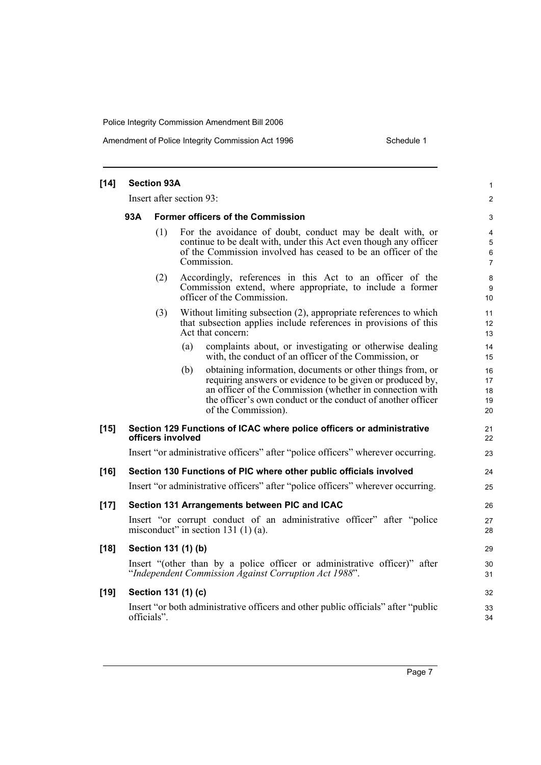#### Amendment of Police Integrity Commission Act 1996 Schedule 1

| $[14]$ | <b>Section 93A</b>                                                 |                                          |                                                                                                                                                                                                                                                                                 |                                                      |  |
|--------|--------------------------------------------------------------------|------------------------------------------|---------------------------------------------------------------------------------------------------------------------------------------------------------------------------------------------------------------------------------------------------------------------------------|------------------------------------------------------|--|
|        | Insert after section 93:                                           |                                          |                                                                                                                                                                                                                                                                                 |                                                      |  |
|        | 93A                                                                | <b>Former officers of the Commission</b> |                                                                                                                                                                                                                                                                                 |                                                      |  |
|        |                                                                    | (1)                                      | For the avoidance of doubt, conduct may be dealt with, or<br>continue to be dealt with, under this Act even though any officer<br>of the Commission involved has ceased to be an officer of the<br>Commission.                                                                  | $\overline{4}$<br>$\mathbf 5$<br>6<br>$\overline{7}$ |  |
|        |                                                                    | (2)                                      | Accordingly, references in this Act to an officer of the<br>Commission extend, where appropriate, to include a former<br>officer of the Commission.                                                                                                                             | 8<br>9<br>10                                         |  |
|        |                                                                    | (3)                                      | Without limiting subsection (2), appropriate references to which<br>that subsection applies include references in provisions of this<br>Act that concern:                                                                                                                       | 11<br>12<br>13                                       |  |
|        |                                                                    |                                          | (a)<br>complaints about, or investigating or otherwise dealing<br>with, the conduct of an officer of the Commission, or                                                                                                                                                         | 14<br>15                                             |  |
|        |                                                                    |                                          | (b)<br>obtaining information, documents or other things from, or<br>requiring answers or evidence to be given or produced by,<br>an officer of the Commission (whether in connection with<br>the officer's own conduct or the conduct of another officer<br>of the Commission). | 16<br>17<br>18<br>19<br>20                           |  |
| $[15]$ |                                                                    |                                          | Section 129 Functions of ICAC where police officers or administrative<br>officers involved                                                                                                                                                                                      | 21<br>22                                             |  |
|        |                                                                    |                                          | Insert "or administrative officers" after "police officers" wherever occurring.                                                                                                                                                                                                 | 23                                                   |  |
| $[16]$ | Section 130 Functions of PIC where other public officials involved |                                          |                                                                                                                                                                                                                                                                                 | 24                                                   |  |
|        |                                                                    |                                          | Insert "or administrative officers" after "police officers" wherever occurring.                                                                                                                                                                                                 | 25                                                   |  |
| $[17]$ |                                                                    |                                          | Section 131 Arrangements between PIC and ICAC                                                                                                                                                                                                                                   | 26                                                   |  |
|        |                                                                    |                                          | Insert "or corrupt conduct of an administrative officer" after "police<br>misconduct" in section 131 $(1)(a)$ .                                                                                                                                                                 | 27<br>28                                             |  |
| $[18]$ |                                                                    |                                          | Section 131 (1) (b)                                                                                                                                                                                                                                                             | 29                                                   |  |
|        |                                                                    |                                          | Insert "(other than by a police officer or administrative officer)" after<br>"Independent Commission Against Corruption Act 1988".                                                                                                                                              | 30<br>31                                             |  |
| $[19]$ |                                                                    |                                          | Section 131 (1) (c)                                                                                                                                                                                                                                                             | 32                                                   |  |
|        |                                                                    | officials".                              | Insert "or both administrative officers and other public officials" after "public                                                                                                                                                                                               | 33<br>34                                             |  |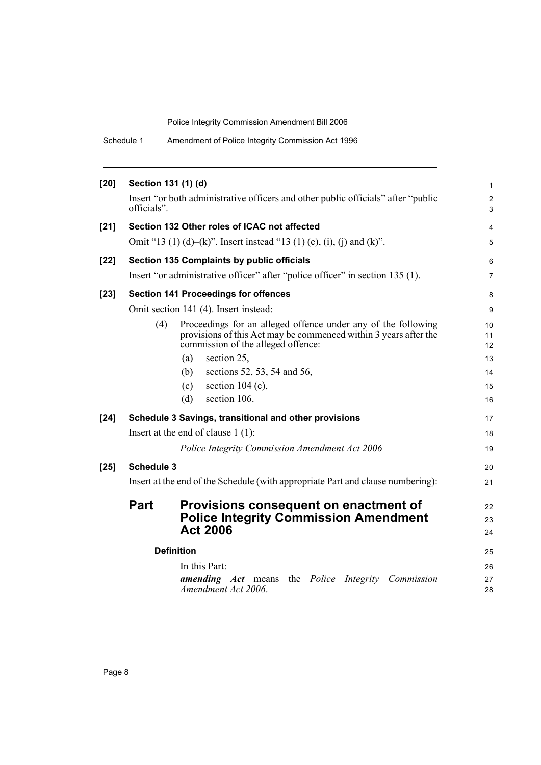Schedule 1 Amendment of Police Integrity Commission Act 1996

| $[20]$ | Section 131 (1) (d)                                                             |                                                                                                                                                                         | $\mathbf{1}$        |
|--------|---------------------------------------------------------------------------------|-------------------------------------------------------------------------------------------------------------------------------------------------------------------------|---------------------|
|        | officials".                                                                     | Insert "or both administrative officers and other public officials" after "public                                                                                       | $\overline{2}$<br>3 |
| $[21]$ |                                                                                 | Section 132 Other roles of ICAC not affected                                                                                                                            | 4                   |
|        |                                                                                 | Omit "13 (1) (d)–(k)". Insert instead "13 (1) (e), (i), (j) and (k)".                                                                                                   | 5                   |
| $[22]$ |                                                                                 | Section 135 Complaints by public officials                                                                                                                              | 6                   |
|        |                                                                                 | Insert "or administrative officer" after "police officer" in section 135 (1).                                                                                           | $\overline{7}$      |
| $[23]$ |                                                                                 | <b>Section 141 Proceedings for offences</b>                                                                                                                             | 8                   |
|        |                                                                                 | Omit section 141 (4). Insert instead:                                                                                                                                   | 9                   |
|        | (4)                                                                             | Proceedings for an alleged offence under any of the following<br>provisions of this Act may be commenced within 3 years after the<br>commission of the alleged offence: | 10<br>11<br>12      |
|        |                                                                                 | section 25,<br>(a)                                                                                                                                                      | 13                  |
|        |                                                                                 | (b)<br>sections 52, 53, 54 and 56,                                                                                                                                      | 14                  |
|        |                                                                                 | section $104$ (c),<br>(c)                                                                                                                                               | 15                  |
|        |                                                                                 | section 106.<br>(d)                                                                                                                                                     | 16                  |
| $[24]$ |                                                                                 | Schedule 3 Savings, transitional and other provisions                                                                                                                   | 17                  |
|        |                                                                                 | Insert at the end of clause $1(1)$ :                                                                                                                                    | 18                  |
|        |                                                                                 | Police Integrity Commission Amendment Act 2006                                                                                                                          | 19                  |
| $[25]$ | <b>Schedule 3</b>                                                               |                                                                                                                                                                         | 20                  |
|        | Insert at the end of the Schedule (with appropriate Part and clause numbering): |                                                                                                                                                                         |                     |
|        | <b>Part</b>                                                                     | Provisions consequent on enactment of                                                                                                                                   | 22                  |
|        |                                                                                 | <b>Police Integrity Commission Amendment</b>                                                                                                                            | 23                  |
|        |                                                                                 | <b>Act 2006</b>                                                                                                                                                         | 24                  |
|        |                                                                                 | <b>Definition</b>                                                                                                                                                       | 25                  |
|        |                                                                                 | In this Part:                                                                                                                                                           | 26                  |
|        |                                                                                 | <b>amending</b> Act means the Police Integrity Commission<br>Amendment Act 2006.                                                                                        | 27<br>28            |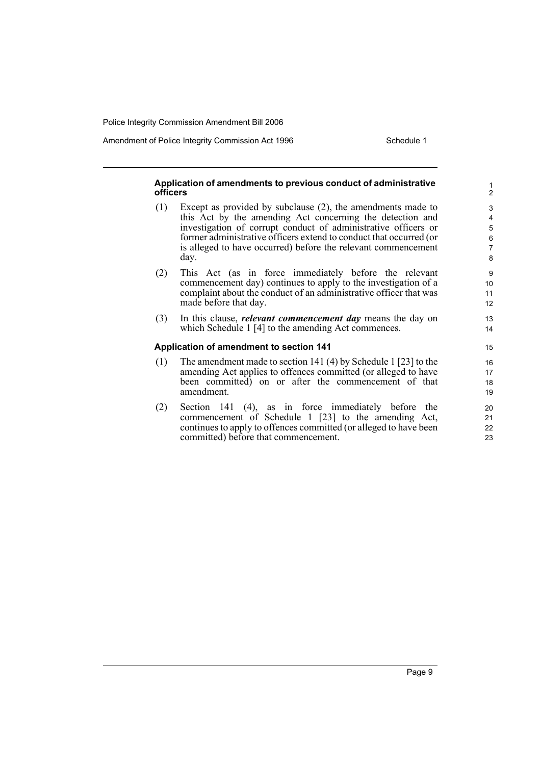Amendment of Police Integrity Commission Act 1996 Schedule 1

#### **Application of amendments to previous conduct of administrative officers**

- (1) Except as provided by subclause (2), the amendments made to this Act by the amending Act concerning the detection and investigation of corrupt conduct of administrative officers or former administrative officers extend to conduct that occurred (or is alleged to have occurred) before the relevant commencement day.
- (2) This Act (as in force immediately before the relevant commencement day) continues to apply to the investigation of a complaint about the conduct of an administrative officer that was made before that day.
- (3) In this clause, *relevant commencement day* means the day on which Schedule 1 [4] to the amending Act commences.

#### **Application of amendment to section 141**

- (1) The amendment made to section 141 (4) by Schedule 1 [23] to the amending Act applies to offences committed (or alleged to have been committed) on or after the commencement of that amendment.
- (2) Section 141 (4), as in force immediately before the commencement of Schedule 1 [23] to the amending Act, continues to apply to offences committed (or alleged to have been committed) before that commencement.